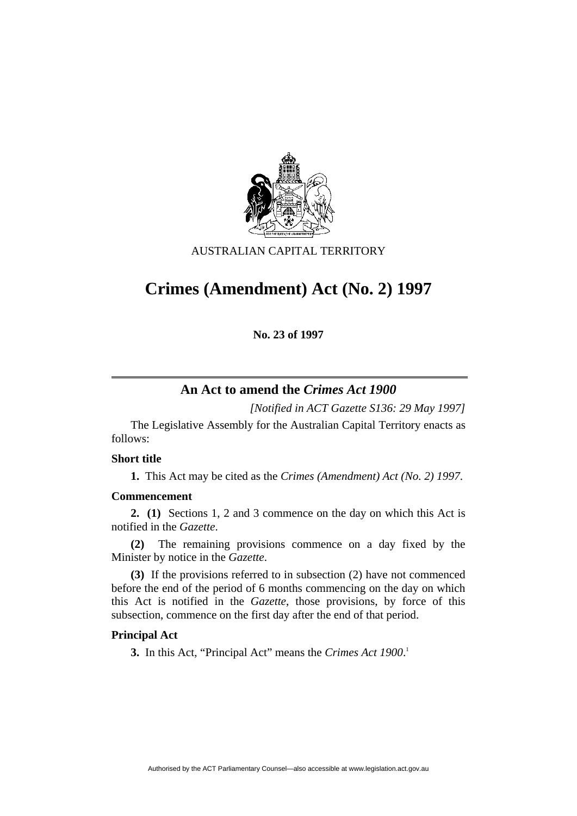

## AUSTRALIAN CAPITAL TERRITORY

# **Crimes (Amendment) Act (No. 2) 1997**

**No. 23 of 1997** 

# **An Act to amend the** *Crimes Act 1900*

*[Notified in ACT Gazette S136: 29 May 1997]*

 The Legislative Assembly for the Australian Capital Territory enacts as follows:

### **Short title**

**1.** This Act may be cited as the *Crimes (Amendment) Act (No. 2) 1997*.

### **Commencement**

**2. (1)** Sections 1, 2 and 3 commence on the day on which this Act is notified in the *Gazette*.

**(2)** The remaining provisions commence on a day fixed by the Minister by notice in the *Gazette*.

**(3)** If the provisions referred to in subsection (2) have not commenced before the end of the period of 6 months commencing on the day on which this Act is notified in the *Gazette*, those provisions, by force of this subsection, commence on the first day after the end of that period.

#### **Principal Act**

**3.** In this Act, "Principal Act" means the *Crimes Act 1900*. 1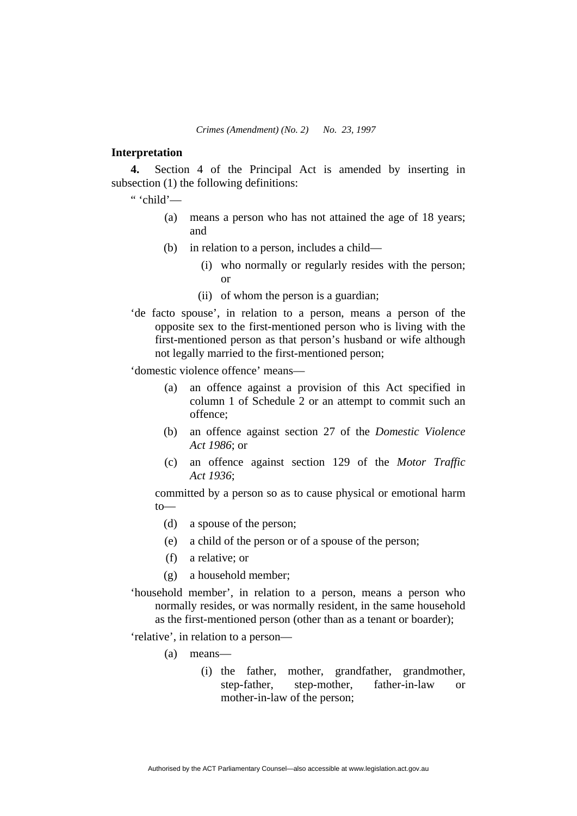#### **Interpretation**

**4.** Section 4 of the Principal Act is amended by inserting in subsection (1) the following definitions:

" 'child'—

- (a) means a person who has not attained the age of 18 years; and
- (b) in relation to a person, includes a child—
	- (i) who normally or regularly resides with the person; or
	- (ii) of whom the person is a guardian;
- 'de facto spouse', in relation to a person, means a person of the opposite sex to the first-mentioned person who is living with the first-mentioned person as that person's husband or wife although not legally married to the first-mentioned person;

'domestic violence offence' means—

- (a) an offence against a provision of this Act specified in column 1 of Schedule 2 or an attempt to commit such an offence;
- (b) an offence against section 27 of the *Domestic Violence Act 1986*; or
- (c) an offence against section 129 of the *Motor Traffic Act 1936*;

committed by a person so as to cause physical or emotional harm to—

- (d) a spouse of the person;
- (e) a child of the person or of a spouse of the person;
- (f) a relative; or
- (g) a household member;
- 'household member', in relation to a person, means a person who normally resides, or was normally resident, in the same household as the first-mentioned person (other than as a tenant or boarder);

'relative', in relation to a person—

- (a) means—
	- (i) the father, mother, grandfather, grandmother, step-father, step-mother, father-in-law or mother-in-law of the person;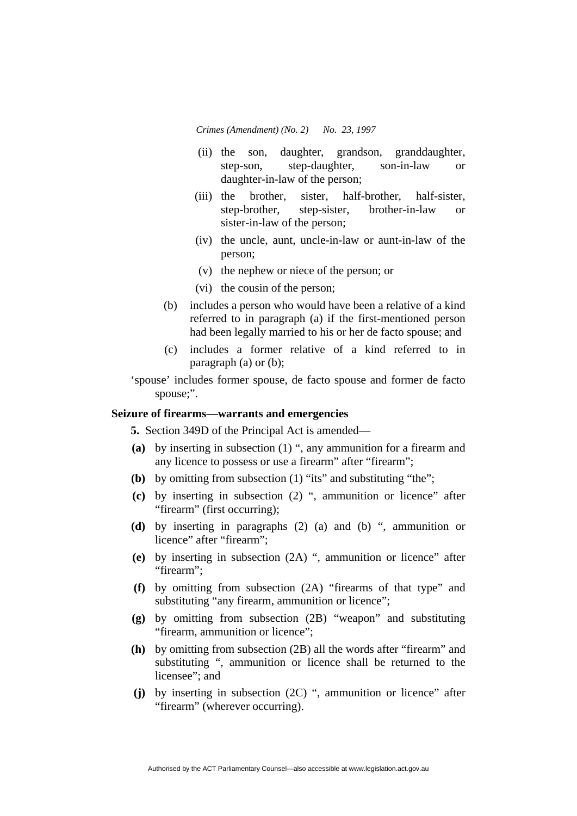*Crimes (Amendment) (No. 2) No. 23, 1997* 

- (ii) the son, daughter, grandson, granddaughter, step-son, step-daughter, son-in-law daughter-in-law of the person;
- (iii) the brother, sister, half-brother, half-sister, step-brother, step-sister, brother-in-law or sister-in-law of the person;
- (iv) the uncle, aunt, uncle-in-law or aunt-in-law of the person;
- (v) the nephew or niece of the person; or
- (vi) the cousin of the person;
- (b) includes a person who would have been a relative of a kind referred to in paragraph (a) if the first-mentioned person had been legally married to his or her de facto spouse; and
- (c) includes a former relative of a kind referred to in paragraph (a) or (b);

'spouse' includes former spouse, de facto spouse and former de facto spouse;".

#### **Seizure of firearms—warrants and emergencies**

**5.** Section 349D of the Principal Act is amended—

- **(a)** by inserting in subsection (1) ", any ammunition for a firearm and any licence to possess or use a firearm" after "firearm";
- **(b)** by omitting from subsection (1) "its" and substituting "the";
- **(c)** by inserting in subsection (2) ", ammunition or licence" after "firearm" (first occurring);
- **(d)** by inserting in paragraphs (2) (a) and (b) ", ammunition or licence" after "firearm":
- **(e)** by inserting in subsection (2A) ", ammunition or licence" after "firearm";
- **(f)** by omitting from subsection (2A) "firearms of that type" and substituting "any firearm, ammunition or licence":
- **(g)** by omitting from subsection (2B) "weapon" and substituting "firearm, ammunition or licence";
- **(h)** by omitting from subsection (2B) all the words after "firearm" and substituting ", ammunition or licence shall be returned to the licensee"; and
- **(j)** by inserting in subsection (2C) ", ammunition or licence" after "firearm" (wherever occurring).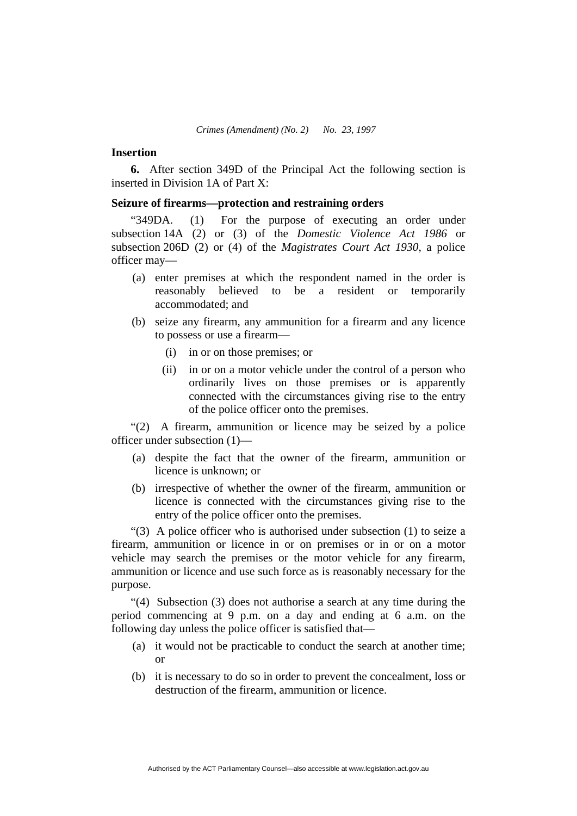#### **Insertion**

**6.** After section 349D of the Principal Act the following section is inserted in Division 1A of Part X:

## **Seizure of firearms—protection and restraining orders**

"349DA. (1) For the purpose of executing an order under subsection 14A (2) or (3) of the *Domestic Violence Act 1986* or subsection 206D (2) or (4) of the *Magistrates Court Act 1930*, a police officer may—

- (a) enter premises at which the respondent named in the order is reasonably believed to be a resident or temporarily accommodated; and
- (b) seize any firearm, any ammunition for a firearm and any licence to possess or use a firearm—
	- (i) in or on those premises; or
	- (ii) in or on a motor vehicle under the control of a person who ordinarily lives on those premises or is apparently connected with the circumstances giving rise to the entry of the police officer onto the premises.

"(2) A firearm, ammunition or licence may be seized by a police officer under subsection (1)—

- (a) despite the fact that the owner of the firearm, ammunition or licence is unknown; or
- (b) irrespective of whether the owner of the firearm, ammunition or licence is connected with the circumstances giving rise to the entry of the police officer onto the premises.

"(3) A police officer who is authorised under subsection (1) to seize a firearm, ammunition or licence in or on premises or in or on a motor vehicle may search the premises or the motor vehicle for any firearm, ammunition or licence and use such force as is reasonably necessary for the purpose.

"(4) Subsection (3) does not authorise a search at any time during the period commencing at 9 p.m. on a day and ending at 6 a.m. on the following day unless the police officer is satisfied that—

- (a) it would not be practicable to conduct the search at another time; or
- (b) it is necessary to do so in order to prevent the concealment, loss or destruction of the firearm, ammunition or licence.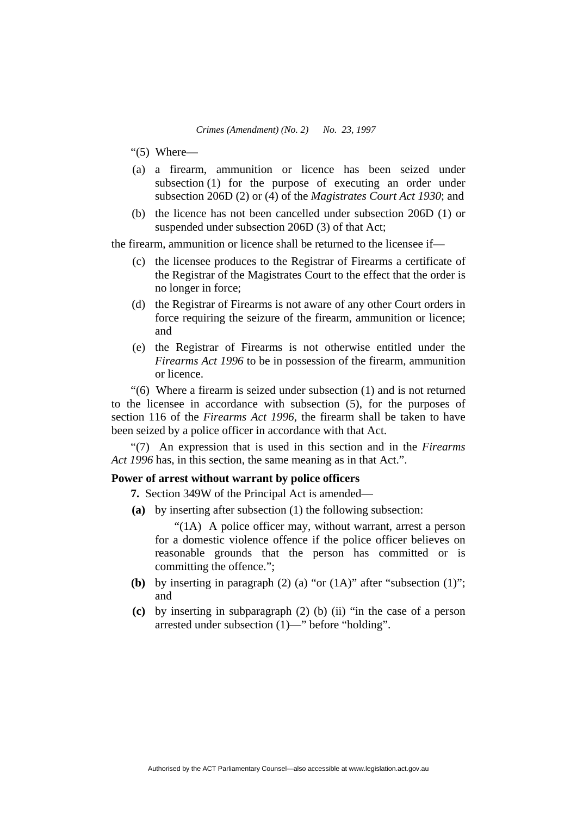- "(5) Where—
- (a) a firearm, ammunition or licence has been seized under subsection (1) for the purpose of executing an order under subsection 206D (2) or (4) of the *Magistrates Court Act 1930*; and
- (b) the licence has not been cancelled under subsection 206D (1) or suspended under subsection 206D (3) of that Act;

the firearm, ammunition or licence shall be returned to the licensee if—

- (c) the licensee produces to the Registrar of Firearms a certificate of the Registrar of the Magistrates Court to the effect that the order is no longer in force;
- (d) the Registrar of Firearms is not aware of any other Court orders in force requiring the seizure of the firearm, ammunition or licence; and
- (e) the Registrar of Firearms is not otherwise entitled under the *Firearms Act 1996* to be in possession of the firearm, ammunition or licence.

"(6) Where a firearm is seized under subsection (1) and is not returned to the licensee in accordance with subsection (5), for the purposes of section 116 of the *Firearms Act 1996*, the firearm shall be taken to have been seized by a police officer in accordance with that Act.

"(7) An expression that is used in this section and in the *Firearms Act 1996* has, in this section, the same meaning as in that Act.".

#### **Power of arrest without warrant by police officers**

**7.** Section 349W of the Principal Act is amended—

**(a)** by inserting after subsection (1) the following subsection:

"(1A) A police officer may, without warrant, arrest a person for a domestic violence offence if the police officer believes on reasonable grounds that the person has committed or is committing the offence.";

- **(b)** by inserting in paragraph (2) (a) "or (1A)" after "subsection (1)"; and
- **(c)** by inserting in subparagraph (2) (b) (ii) "in the case of a person arrested under subsection (1)—" before "holding".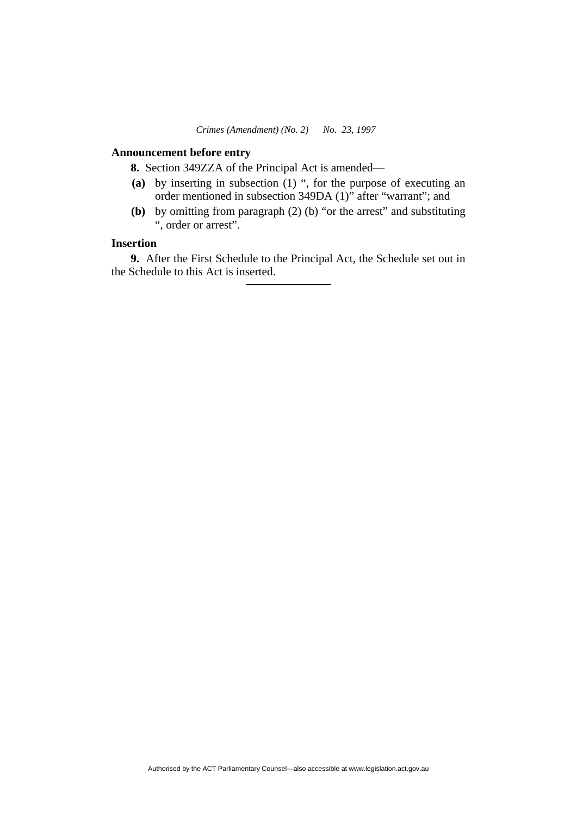### **Announcement before entry**

**8.** Section 349ZZA of the Principal Act is amended—

- **(a)** by inserting in subsection (1) ", for the purpose of executing an order mentioned in subsection 349DA (1)" after "warrant"; and
- **(b)** by omitting from paragraph (2) (b) "or the arrest" and substituting ", order or arrest".

## **Insertion**

**9.** After the First Schedule to the Principal Act, the Schedule set out in the Schedule to this Act is inserted.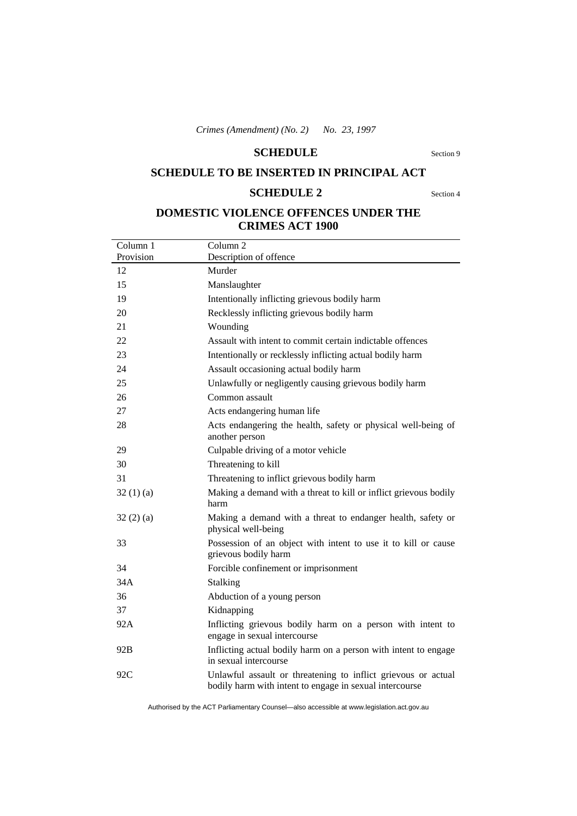## **SCHEDULE** Section 9

## **SCHEDULE TO BE INSERTED IN PRINCIPAL ACT**

## **SCHEDULE 2** Section 4

# **DOMESTIC VIOLENCE OFFENCES UNDER THE CRIMES ACT 1900**

| Column 1  | Column <sub>2</sub>                                                                                                      |
|-----------|--------------------------------------------------------------------------------------------------------------------------|
| Provision | Description of offence                                                                                                   |
| 12        | Murder                                                                                                                   |
| 15        | Manslaughter                                                                                                             |
| 19        | Intentionally inflicting grievous bodily harm                                                                            |
| 20        | Recklessly inflicting grievous bodily harm                                                                               |
| 21        | Wounding                                                                                                                 |
| 22        | Assault with intent to commit certain indictable offences                                                                |
| 23        | Intentionally or recklessly inflicting actual bodily harm                                                                |
| 24        | Assault occasioning actual bodily harm                                                                                   |
| 25        | Unlawfully or negligently causing grievous bodily harm                                                                   |
| 26        | Common assault                                                                                                           |
| 27        | Acts endangering human life                                                                                              |
| 28        | Acts endangering the health, safety or physical well-being of<br>another person                                          |
| 29        | Culpable driving of a motor vehicle                                                                                      |
| 30        | Threatening to kill                                                                                                      |
| 31        | Threatening to inflict grievous bodily harm                                                                              |
| 32(1)(a)  | Making a demand with a threat to kill or inflict grievous bodily<br>harm                                                 |
| 32(2)(a)  | Making a demand with a threat to endanger health, safety or<br>physical well-being                                       |
| 33        | Possession of an object with intent to use it to kill or cause<br>grievous bodily harm                                   |
| 34        | Forcible confinement or imprisonment                                                                                     |
| 34A       | Stalking                                                                                                                 |
| 36        | Abduction of a young person                                                                                              |
| 37        | Kidnapping                                                                                                               |
| 92A       | Inflicting grievous bodily harm on a person with intent to<br>engage in sexual intercourse                               |
| 92B       | Inflicting actual bodily harm on a person with intent to engage<br>in sexual intercourse                                 |
| 92C       | Unlawful assault or threatening to inflict grievous or actual<br>bodily harm with intent to engage in sexual intercourse |

Authorised by the ACT Parliamentary Counsel—also accessible at www.legislation.act.gov.au